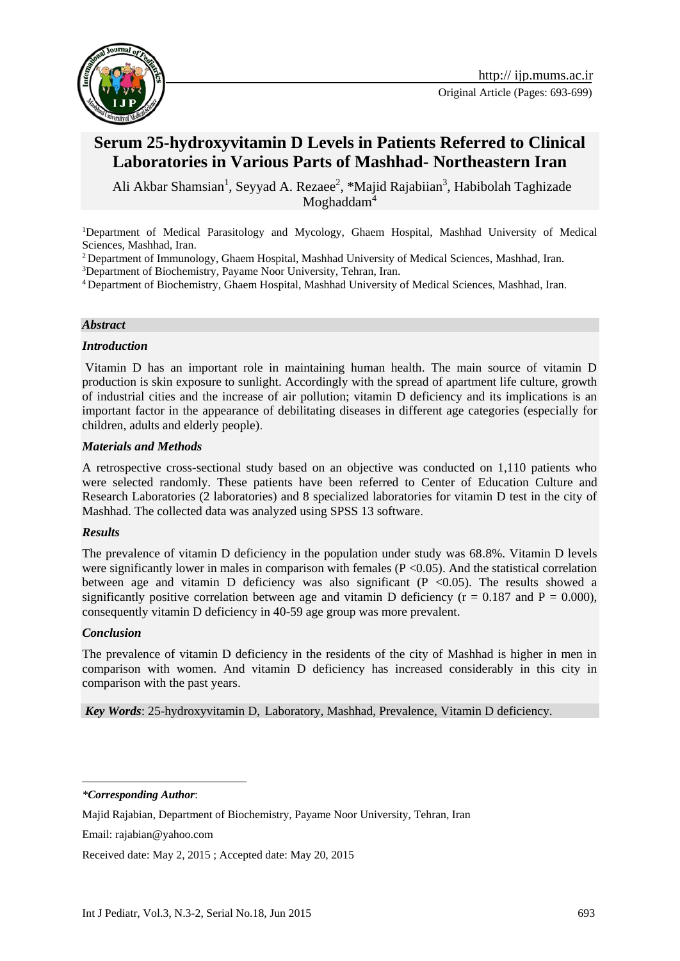

# **Serum 25-hydroxyvitamin D Levels in Patients Referred to Clinical Laboratories in Various Parts of Mashhad- Northeastern Iran**

Ali Akbar Shamsian<sup>1</sup>, Seyyad A. Rezaee<sup>2</sup>, \*Majid Rajabiian<sup>3</sup>, Habibolah Taghizade Moghaddam<sup>4</sup>

<sup>1</sup>Department of Medical Parasitology and Mycology, Ghaem Hospital, Mashhad University of Medical Sciences, Mashhad, Iran.

<sup>2</sup> Department of Immunology, Ghaem Hospital, Mashhad University of Medical Sciences, Mashhad, Iran.

<sup>3</sup>Department of Biochemistry, Payame Noor University, Tehran, Iran.

<sup>4</sup> Department of Biochemistry, Ghaem Hospital, Mashhad University of Medical Sciences, Mashhad, Iran.

#### *Abstract*

#### *Introduction*

Vitamin D has an important role in maintaining human health. The main source of vitamin D production is skin exposure to sunlight. Accordingly with the spread of apartment life culture, growth of industrial cities and the increase of air pollution; vitamin D deficiency and its implications is an important factor in the appearance of debilitating diseases in different age categories (especially for children, adults and elderly people).

#### *Materials and Methods*

A retrospective cross-sectional study based on an objective was conducted on 1,110 patients who were selected randomly. These patients have been referred to Center of Education Culture and Research Laboratories (2 laboratories) and 8 specialized laboratories for vitamin D test in the city of Mashhad. The collected data was analyzed using SPSS 13 software.

#### *Results*

The prevalence of vitamin D deficiency in the population under study was 68.8%. Vitamin D levels were significantly lower in males in comparison with females  $(P < 0.05)$ . And the statistical correlation between age and vitamin D deficiency was also significant  $(P \le 0.05)$ . The results showed a significantly positive correlation between age and vitamin D deficiency ( $r = 0.187$  and  $P = 0.000$ ), consequently vitamin D deficiency in 40-59 age group was more prevalent.

#### *Conclusion*

<u>.</u>

The prevalence of vitamin D deficiency in the residents of the city of Mashhad is higher in men in comparison with women. And vitamin D deficiency has increased considerably in this city in comparison with the past years.

*Key Words*: 25-hydroxyvitamin D, Laboratory, Mashhad, Prevalence, Vitamin D deficiency.

*\*Corresponding Author*:

Majid Rajabian, Department of Biochemistry, Payame Noor University, Tehran, Iran

Email: rajabian@yahoo.com

Received date: May 2, 2015 ; Accepted date: May 20, 2015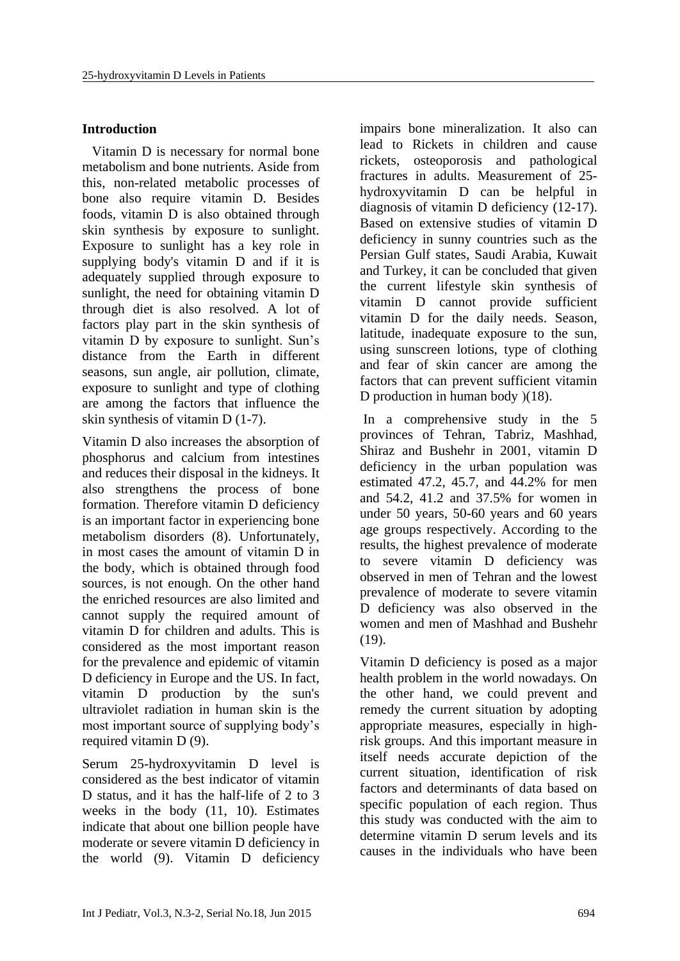# **Introduction**

Vitamin D is necessary for normal bone metabolism and bone nutrients. Aside from this, non-related metabolic processes of bone also require vitamin D. Besides foods, vitamin D is also obtained through skin synthesis by exposure to sunlight. Exposure to sunlight has a key role in supplying body's vitamin D and if it is adequately supplied through exposure to sunlight, the need for obtaining vitamin D through diet is also resolved. A lot of factors play part in the skin synthesis of vitamin D by exposure to sunlight. Sun's distance from the Earth in different seasons, sun angle, air pollution, climate, exposure to sunlight and type of clothing are among the factors that influence the skin synthesis of vitamin D (1-7).

Vitamin D also increases the absorption of phosphorus and calcium from intestines and reduces their disposal in the kidneys. It also strengthens the process of bone formation. Therefore vitamin D deficiency is an important factor in experiencing bone metabolism disorders (8). Unfortunately, in most cases the amount of vitamin D in the body, which is obtained through food sources, is not enough. On the other hand the enriched resources are also limited and cannot supply the required amount of vitamin D for children and adults. This is considered as the most important reason for the prevalence and epidemic of vitamin D deficiency in Europe and the US. In fact, vitamin D production by the sun's ultraviolet radiation in human skin is the most important source of supplying body's required vitamin D (9).

Serum 25-hydroxyvitamin D level is considered as the best indicator of vitamin D status, and it has the half-life of 2 to 3 weeks in the body (11, 10). Estimates indicate that about one billion people have moderate or severe vitamin D deficiency in the world (9). Vitamin D deficiency

impairs bone mineralization. It also can lead to Rickets in children and cause rickets, osteoporosis and pathological fractures in adults. Measurement of 25 hydroxyvitamin D can be helpful in diagnosis of vitamin D deficiency (12-17). Based on extensive studies of vitamin D deficiency in sunny countries such as the Persian Gulf states, Saudi Arabia, Kuwait and Turkey, it can be concluded that given the current lifestyle skin synthesis of vitamin D cannot provide sufficient vitamin D for the daily needs. Season, latitude, inadequate exposure to the sun, using sunscreen lotions, type of clothing and fear of skin cancer are among the factors that can prevent sufficient vitamin D production in human body  $(18)$ .

In a comprehensive study in the 5 provinces of Tehran, Tabriz, Mashhad, Shiraz and Bushehr in 2001, vitamin D deficiency in the urban population was estimated 47.2, 45.7, and 44.2% for men and 54.2, 41.2 and 37.5% for women in under 50 years, 50-60 years and 60 years age groups respectively. According to the results, the highest prevalence of moderate to severe vitamin D deficiency was observed in men of Tehran and the lowest prevalence of moderate to severe vitamin D deficiency was also observed in the women and men of Mashhad and Bushehr (19).

Vitamin D deficiency is posed as a major health problem in the world nowadays. On the other hand, we could prevent and remedy the current situation by adopting appropriate measures, especially in highrisk groups. And this important measure in itself needs accurate depiction of the current situation, identification of risk factors and determinants of data based on specific population of each region. Thus this study was conducted with the aim to determine vitamin D serum levels and its causes in the individuals who have been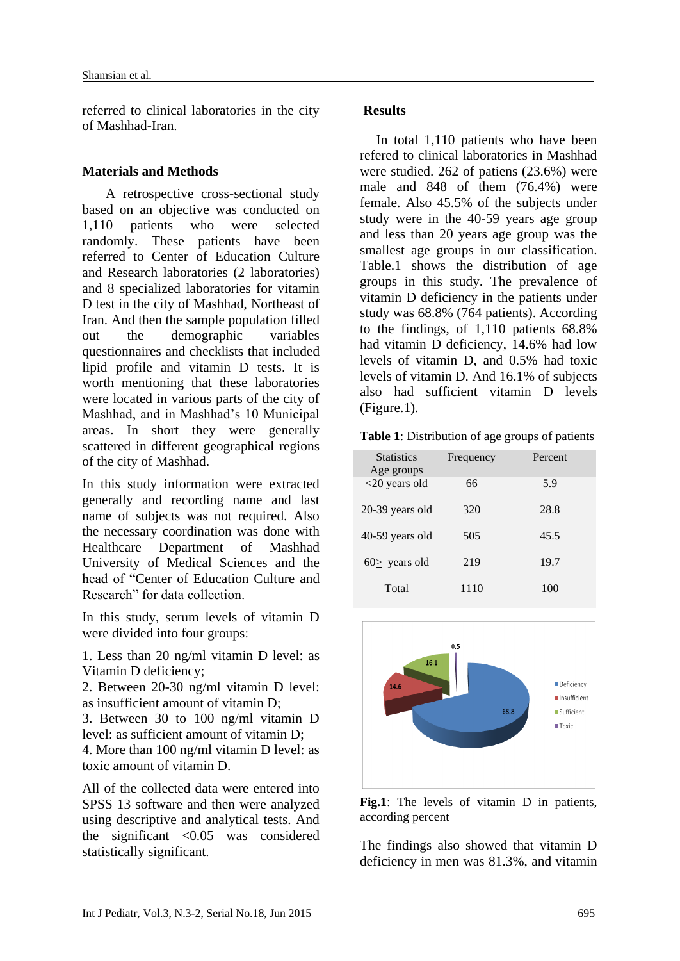referred to clinical laboratories in the city of Mashhad-Iran.

### **Materials and Methods**

 A retrospective cross-sectional study based on an objective was conducted on 1,110 patients who were selected randomly. These patients have been referred to Center of Education Culture and Research laboratories (2 laboratories) and 8 specialized laboratories for vitamin D test in the city of Mashhad, Northeast of Iran. And then the sample population filled out the demographic variables questionnaires and checklists that included lipid profile and vitamin D tests. It is worth mentioning that these laboratories were located in various parts of the city of Mashhad, and in Mashhad's 10 Municipal areas. In short they were generally scattered in different geographical regions of the city of Mashhad.

In this study information were extracted generally and recording name and last name of subjects was not required. Also the necessary coordination was done with Healthcare Department of Mashhad University of Medical Sciences and the head of "Center of Education Culture and Research" for data collection.

In this study, serum levels of vitamin D were divided into four groups:

1. Less than 20 ng/ml vitamin D level: as Vitamin D deficiency;

2. Between 20-30 ng/ml vitamin D level: as insufficient amount of vitamin D;

3. Between 30 to 100 ng/ml vitamin D level: as sufficient amount of vitamin D; 4. More than 100 ng/ml vitamin D level: as

toxic amount of vitamin D.

All of the collected data were entered into SPSS 13 software and then were analyzed using descriptive and analytical tests. And the significant <0.05 was considered statistically significant.

### **Results**

In total 1,110 patients who have been refered to clinical laboratories in Mashhad were studied. 262 of patiens (23.6%) were male and 848 of them (76.4%) were female. Also 45.5% of the subjects under study were in the 40-59 years age group and less than 20 years age group was the smallest age groups in our classification. Table.1 shows the distribution of age groups in this study. The prevalence of vitamin D deficiency in the patients under study was 68.8% (764 patients). According to the findings, of 1,110 patients 68.8% had vitamin D deficiency, 14.6% had low levels of vitamin D, and 0.5% had toxic levels of vitamin D. And 16.1% of subjects also had sufficient vitamin D levels (Figure.1).

**Table 1**: Distribution of age groups of patients

| <b>Statistics</b><br>Age groups | Frequency | Percent |
|---------------------------------|-----------|---------|
| $<$ 20 years old                | 66        | 5.9     |
| 20-39 years old                 | 320       | 28.8    |
| 40-59 years old                 | 505       | 45.5    |
| $60$ years old                  | 219       | 19.7    |
| Total                           | 1110      | 100     |



**Fig.1**: The levels of vitamin D in patients, according percent

The findings also showed that vitamin D deficiency in men was 81.3%, and vitamin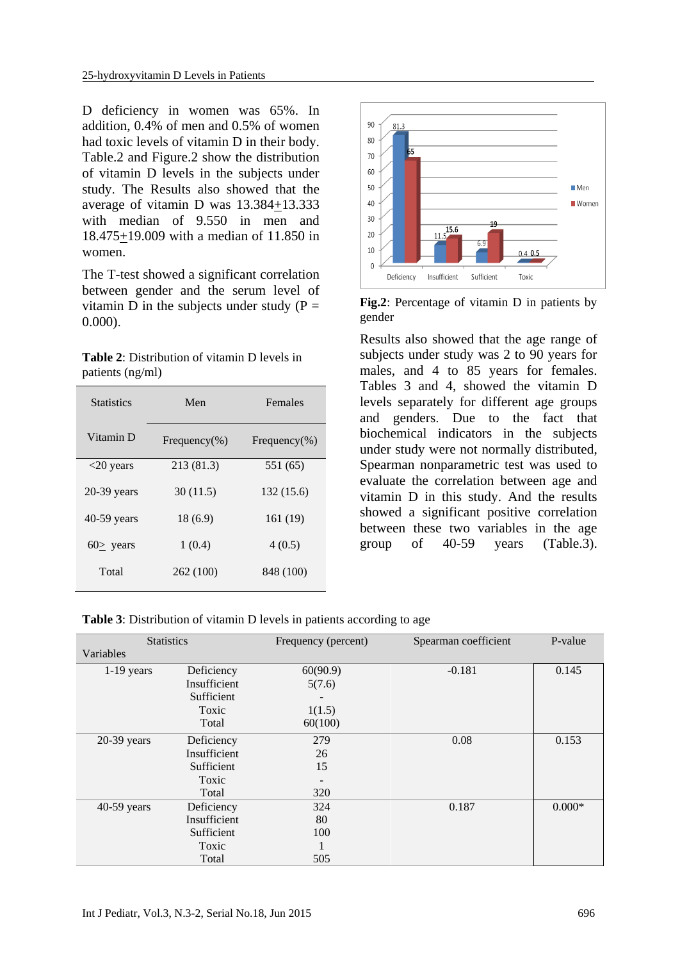D deficiency in women was 65%. In addition, 0.4% of men and 0.5% of women had toxic levels of vitamin D in their body. Table.2 and Figure.2 show the distribution of vitamin D levels in the subjects under study. The Results also showed that the average of vitamin D was 13.384+13.333 with median of 9.550 in men and 18.475+19.009 with a median of 11.850 in women.

The T-test showed a significant correlation between gender and the serum level of vitamin D in the subjects under study  $(P =$ 0.000).

**Table 2**: Distribution of vitamin D levels in patients (ng/ml)

| <b>Statistics</b> | Men               | Females           |  |
|-------------------|-------------------|-------------------|--|
| Vitamin D         | Frequency $(\% )$ | Frequency $(\% )$ |  |
| $<$ 20 years      | 213 (81.3)        | 551 (65)          |  |
| $20-39$ years     | 30(11.5)          | 132 (15.6)        |  |
| 40-59 years       | 18(6.9)           | 161 (19)          |  |
| $60$ years        | 1(0.4)            | 4(0.5)            |  |
| Total             | 262 (100)         | 848 (100)         |  |



**Fig.2**: Percentage of vitamin D in patients by gender

Results also showed that the age range of subjects under study was 2 to 90 years for males, and 4 to 85 years for females. Tables 3 and 4, showed the vitamin D levels separately for different age groups and genders. Due to the fact that biochemical indicators in the subjects under study were not normally distributed, Spearman nonparametric test was used to evaluate the correlation between age and vitamin D in this study. And the results showed a significant positive correlation between these two variables in the age group of 40-59 years (Table.3).

**Table 3**: Distribution of vitamin D levels in patients according to age

| <b>Statistics</b> |              | Frequency (percent) | Spearman coefficient | P-value  |
|-------------------|--------------|---------------------|----------------------|----------|
| Variables         |              |                     |                      |          |
| $1-19$ years      | Deficiency   | 60(90.9)            | $-0.181$             | 0.145    |
|                   | Insufficient | 5(7.6)              |                      |          |
|                   | Sufficient   |                     |                      |          |
|                   | Toxic        | 1(1.5)              |                      |          |
|                   | Total        | 60(100)             |                      |          |
| $20-39$ years     | Deficiency   | 279                 | 0.08                 | 0.153    |
|                   | Insufficient | 26                  |                      |          |
|                   | Sufficient   | 15                  |                      |          |
|                   | Toxic        |                     |                      |          |
|                   | Total        | 320                 |                      |          |
| 40-59 years       | Deficiency   | 324                 | 0.187                | $0.000*$ |
|                   | Insufficient | 80                  |                      |          |
|                   | Sufficient   | 100                 |                      |          |
|                   | Toxic        | $\pm$               |                      |          |
|                   | Total        | 505                 |                      |          |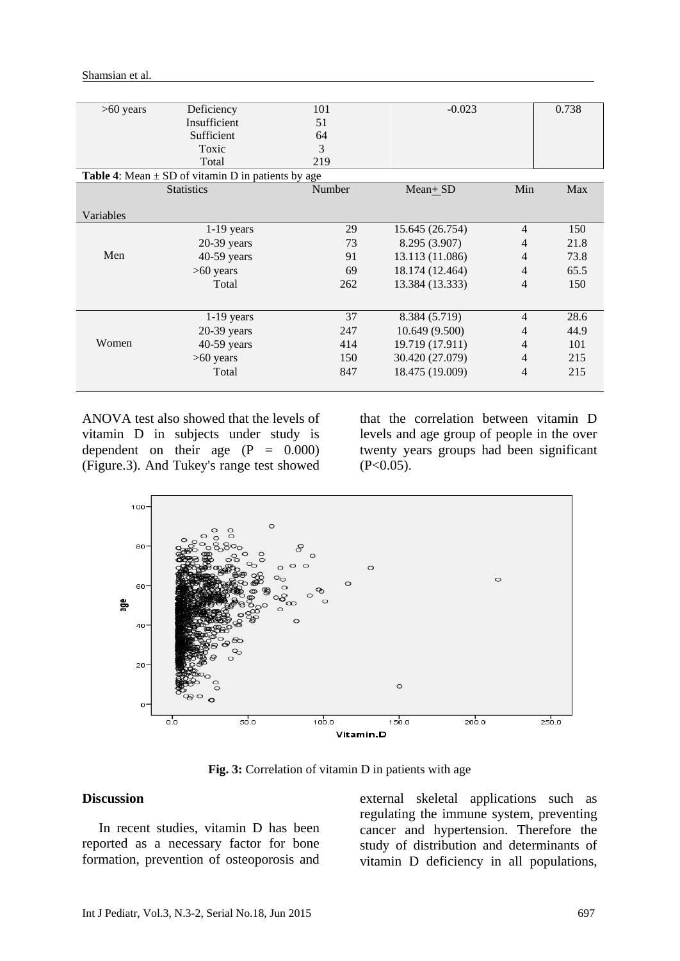| $>60$ years                                                   | Deficiency        | 101    | $-0.023$        |                | 0.738 |  |
|---------------------------------------------------------------|-------------------|--------|-----------------|----------------|-------|--|
|                                                               | Insufficient      | 51     |                 |                |       |  |
|                                                               | Sufficient        | 64     |                 |                |       |  |
|                                                               | Toxic             | 3      |                 |                |       |  |
|                                                               | Total             | 219    |                 |                |       |  |
| <b>Table 4:</b> Mean $\pm$ SD of vitamin D in patients by age |                   |        |                 |                |       |  |
|                                                               | <b>Statistics</b> | Number | $Mean + SD$     | Min            | Max   |  |
|                                                               |                   |        |                 |                |       |  |
| Variables                                                     |                   |        |                 |                |       |  |
|                                                               | $1-19$ years      | 29     | 15.645 (26.754) | 4              | 150   |  |
|                                                               | $20-39$ years     | 73     | 8.295 (3.907)   | 4              | 21.8  |  |
| Men                                                           | $40-59$ years     | 91     | 13.113 (11.086) | 4              | 73.8  |  |
|                                                               | $>60$ years       | 69     | 18.174 (12.464) | $\overline{4}$ | 65.5  |  |
|                                                               | Total             | 262    | 13.384 (13.333) | 4              | 150   |  |
|                                                               |                   |        |                 |                |       |  |
|                                                               | $1-19$ years      | 37     | 8.384 (5.719)   | 4              | 28.6  |  |
|                                                               | $20-39$ years     | 247    | 10.649 (9.500)  | 4              | 44.9  |  |
| Women                                                         | $40-59$ years     | 414    | 19.719 (17.911) | 4              | 101   |  |
|                                                               | $>60$ years       | 150    | 30.420 (27.079) | 4              | 215   |  |
|                                                               | Total             | 847    | 18.475 (19.009) | 4              | 215   |  |
|                                                               |                   |        |                 |                |       |  |
|                                                               |                   |        |                 |                |       |  |

Shamsian et al.

ANOVA test also showed that the levels of vitamin D in subjects under study is dependent on their age  $(P = 0.000)$ (Figure.3). And Tukey's range test showed

that the correlation between vitamin D levels and age group of people in the over twenty years groups had been significant  $(P<0.05)$ .



**Fig. 3:** Correlation of vitamin D in patients with age

### **Discussion**

 In recent studies, vitamin D has been reported as a necessary factor for bone formation, prevention of osteoporosis and external skeletal applications such as regulating the immune system, preventing cancer and hypertension. Therefore the study of distribution and determinants of vitamin D deficiency in all populations,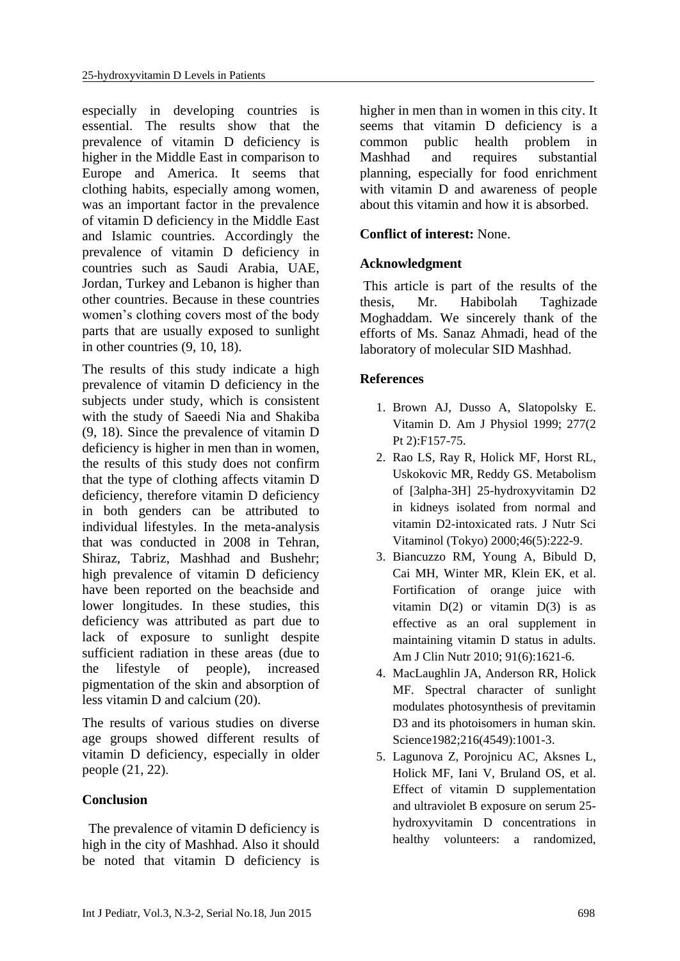especially in developing countries is essential. The results show that the prevalence of vitamin D deficiency is higher in the Middle East in comparison to Europe and America. It seems that clothing habits, especially among women, was an important factor in the prevalence of vitamin D deficiency in the Middle East and Islamic countries. Accordingly the prevalence of vitamin D deficiency in countries such as Saudi Arabia, UAE, Jordan, Turkey and Lebanon is higher than other countries. Because in these countries women's clothing covers most of the body parts that are usually exposed to sunlight in other countries (9, 10, 18).

The results of this study indicate a high prevalence of vitamin D deficiency in the subjects under study, which is consistent with the study of Saeedi Nia and Shakiba (9, 18). Since the prevalence of vitamin D deficiency is higher in men than in women, the results of this study does not confirm that the type of clothing affects vitamin D deficiency, therefore vitamin D deficiency in both genders can be attributed to individual lifestyles. In the meta-analysis that was conducted in 2008 in Tehran, Shiraz, Tabriz, Mashhad and Bushehr; high prevalence of vitamin D deficiency have been reported on the beachside and lower longitudes. In these studies, this deficiency was attributed as part due to lack of exposure to sunlight despite sufficient radiation in these areas (due to the lifestyle of people), increased pigmentation of the skin and absorption of less vitamin D and calcium (20).

The results of various studies on diverse age groups showed different results of vitamin D deficiency, especially in older people (21, 22).

# **Conclusion**

The prevalence of vitamin D deficiency is high in the city of Mashhad. Also it should be noted that vitamin D deficiency is higher in men than in women in this city. It seems that vitamin D deficiency is a common public health problem in Mashhad and requires substantial planning, especially for food enrichment with vitamin D and awareness of people about this vitamin and how it is absorbed.

# **Conflict of interest:** None.

### **Acknowledgment**

This article is part of the results of the thesis, Mr. Habibolah Taghizade Moghaddam. We sincerely thank of the efforts of Ms. Sanaz Ahmadi, head of the laboratory of molecular SID Mashhad.

### **References**

- 1. [Brown AJ,](http://www.ncbi.nlm.nih.gov/pubmed/?term=Brown%20AJ%5BAuthor%5D&cauthor=true&cauthor_uid=10444570) [Dusso A,](http://www.ncbi.nlm.nih.gov/pubmed/?term=Dusso%20A%5BAuthor%5D&cauthor=true&cauthor_uid=10444570) [Slatopolsky E.](http://www.ncbi.nlm.nih.gov/pubmed/?term=Slatopolsky%20E%5BAuthor%5D&cauthor=true&cauthor_uid=10444570) Vitamin D. [Am J Physiol](http://www.ncbi.nlm.nih.gov/pubmed/10444570) 1999; 277(2 Pt 2):F157-75.
- 2. [Rao LS,](http://www.ncbi.nlm.nih.gov/pubmed/?term=Rao%20LS%5BAuthor%5D&cauthor=true&cauthor_uid=11234914) [Ray R,](http://www.ncbi.nlm.nih.gov/pubmed/?term=Ray%20R%5BAuthor%5D&cauthor=true&cauthor_uid=11234914) [Holick MF,](http://www.ncbi.nlm.nih.gov/pubmed/?term=Holick%20MF%5BAuthor%5D&cauthor=true&cauthor_uid=11234914) [Horst RL,](http://www.ncbi.nlm.nih.gov/pubmed/?term=Horst%20RL%5BAuthor%5D&cauthor=true&cauthor_uid=11234914) [Uskokovic MR,](http://www.ncbi.nlm.nih.gov/pubmed/?term=Uskokovic%20MR%5BAuthor%5D&cauthor=true&cauthor_uid=11234914) [Reddy GS.](http://www.ncbi.nlm.nih.gov/pubmed/?term=Reddy%20GS%5BAuthor%5D&cauthor=true&cauthor_uid=11234914) Metabolism of [3alpha-3H] 25-hydroxyvitamin D2 in kidneys isolated from normal and vitamin D2-intoxicated rats. [J Nutr Sci](http://www.ncbi.nlm.nih.gov/pubmed/11234914)  [Vitaminol \(Tokyo\)](http://www.ncbi.nlm.nih.gov/pubmed/11234914) 2000;46(5):222-9.
- 3. [Biancuzzo RM,](http://www.ncbi.nlm.nih.gov/pubmed/?term=Biancuzzo%20RM%5BAuthor%5D&cauthor=true&cauthor_uid=20427729) [Young A,](http://www.ncbi.nlm.nih.gov/pubmed/?term=Young%20A%5BAuthor%5D&cauthor=true&cauthor_uid=20427729) [Bibuld D,](http://www.ncbi.nlm.nih.gov/pubmed/?term=Bibuld%20D%5BAuthor%5D&cauthor=true&cauthor_uid=20427729) [Cai MH,](http://www.ncbi.nlm.nih.gov/pubmed/?term=Cai%20MH%5BAuthor%5D&cauthor=true&cauthor_uid=20427729) [Winter MR,](http://www.ncbi.nlm.nih.gov/pubmed/?term=Winter%20MR%5BAuthor%5D&cauthor=true&cauthor_uid=20427729) [Klein EK,](http://www.ncbi.nlm.nih.gov/pubmed/?term=Klein%20EK%5BAuthor%5D&cauthor=true&cauthor_uid=20427729) et al. Fortification of orange juice with vitamin  $D(2)$  or vitamin  $D(3)$  is as effective as an oral supplement in maintaining vitamin D status in adults. [Am J Clin Nutr](http://www.ncbi.nlm.nih.gov/pubmed/20427729) 2010; 91(6):1621-6.
- 4. [MacLaughlin JA,](http://www.ncbi.nlm.nih.gov/pubmed/?term=MacLaughlin%20JA%5BAuthor%5D&cauthor=true&cauthor_uid=6281884) [Anderson RR,](http://www.ncbi.nlm.nih.gov/pubmed/?term=Anderson%20RR%5BAuthor%5D&cauthor=true&cauthor_uid=6281884) [Holick](http://www.ncbi.nlm.nih.gov/pubmed/?term=Holick%20MF%5BAuthor%5D&cauthor=true&cauthor_uid=6281884)  [MF.](http://www.ncbi.nlm.nih.gov/pubmed/?term=Holick%20MF%5BAuthor%5D&cauthor=true&cauthor_uid=6281884) Spectral character of sunlight modulates photosynthesis of previtamin D3 and its photoisomers in human skin. [Science1](http://www.ncbi.nlm.nih.gov/pubmed/?term=MacLaughlin+JA.+Spectral+character)982;216(4549):1001-3.
- 5. [Lagunova Z,](http://www.ncbi.nlm.nih.gov/pubmed/?term=Lagunova%20Z%5BAuthor%5D&cauthor=true&cauthor_uid=23551243) [Porojnicu AC,](http://www.ncbi.nlm.nih.gov/pubmed/?term=Porojnicu%20AC%5BAuthor%5D&cauthor=true&cauthor_uid=23551243) [Aksnes L,](http://www.ncbi.nlm.nih.gov/pubmed/?term=Aksnes%20L%5BAuthor%5D&cauthor=true&cauthor_uid=23551243) [Holick MF,](http://www.ncbi.nlm.nih.gov/pubmed/?term=Holick%20MF%5BAuthor%5D&cauthor=true&cauthor_uid=23551243) [Iani V,](http://www.ncbi.nlm.nih.gov/pubmed/?term=Iani%20V%5BAuthor%5D&cauthor=true&cauthor_uid=23551243) [Bruland OS,](http://www.ncbi.nlm.nih.gov/pubmed/?term=Bruland%20OS%5BAuthor%5D&cauthor=true&cauthor_uid=23551243) [et](http://www.ncbi.nlm.nih.gov/pubmed/?term=Moan%20J%5BAuthor%5D&cauthor=true&cauthor_uid=23551243) al. Effect of vitamin D supplementation and ultraviolet B exposure on serum 25 hydroxyvitamin D concentrations in healthy volunteers: a randomized,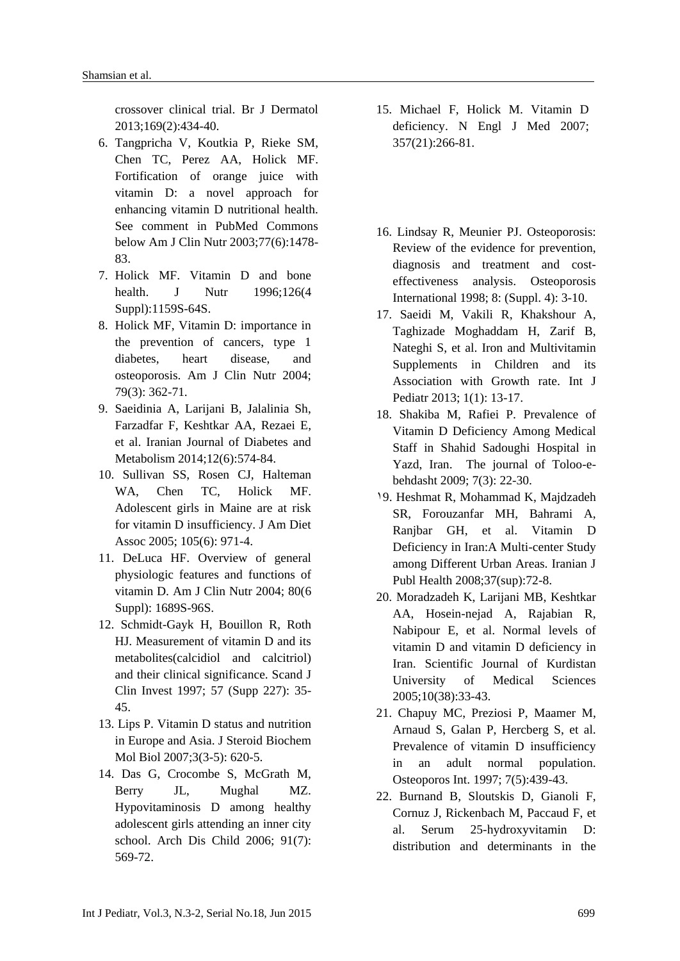crossover clinical trial. [Br J Dermatol](http://www.ncbi.nlm.nih.gov/pubmed/23551243) 2013;169(2):434-40.

- 6. [Tangpricha V,](http://www.ncbi.nlm.nih.gov/pubmed/?term=Tangpricha%20V%5BAuthor%5D&cauthor=true&cauthor_uid=12791627) [Koutkia P,](http://www.ncbi.nlm.nih.gov/pubmed/?term=Koutkia%20P%5BAuthor%5D&cauthor=true&cauthor_uid=12791627) [Rieke SM,](http://www.ncbi.nlm.nih.gov/pubmed/?term=Rieke%20SM%5BAuthor%5D&cauthor=true&cauthor_uid=12791627) [Chen TC,](http://www.ncbi.nlm.nih.gov/pubmed/?term=Chen%20TC%5BAuthor%5D&cauthor=true&cauthor_uid=12791627) [Perez AA,](http://www.ncbi.nlm.nih.gov/pubmed/?term=Perez%20AA%5BAuthor%5D&cauthor=true&cauthor_uid=12791627) [Holick MF.](http://www.ncbi.nlm.nih.gov/pubmed/?term=Holick%20MF%5BAuthor%5D&cauthor=true&cauthor_uid=12791627) Fortification of orange juice with vitamin D: a novel approach for enhancing vitamin D nutritional health. [See comment in PubMed Commons](http://www.ncbi.nlm.nih.gov/pubmed/12791627#comments)  [below](http://www.ncbi.nlm.nih.gov/pubmed/12791627#comments) [Am J Clin Nutr](http://www.ncbi.nlm.nih.gov/pubmed/12791627) 2003;77(6):1478- 83.
- 7. [Holick MF.](http://www.ncbi.nlm.nih.gov/pubmed/?term=Holick%20MF%5BAuthor%5D&cauthor=true&cauthor_uid=8642450) Vitamin D and bone health. [J Nutr](http://www.ncbi.nlm.nih.gov/pubmed/8642450) 1996:126(4) Suppl):1159S-64S.
- 8. Holick MF, Vitamin D: importance in the prevention of cancers, type 1 diabetes, heart disease, and osteoporosis. Am J Clin Nutr 2004; 79(3): 362-71.
- 9. Saeidinia A, Larijani B, Jalalinia Sh, Farzadfar F, Keshtkar AA, Rezaei E, et al. Iranian Journal of Diabetes and Metabolism 2014;12(6):574-84.
- 10. Sullivan SS, Rosen CJ, Halteman WA, Chen TC, Holick MF. Adolescent girls in Maine are at risk for vitamin D insufficiency. J Am Diet Assoc 2005; 105(6): 971-4.
- 11. DeLuca HF. Overview of general physiologic features and functions of vitamin D. Am J Clin Nutr 2004; 80(6 Suppl): 1689S-96S.
- 12. Schmidt-Gayk H, Bouillon R, Roth HJ. Measurement of vitamin D and its metabolites(calcidiol and calcitriol) and their clinical significance. Scand J Clin Invest 1997; 57 (Supp 227): 35- 45.
- 13. Lips P. Vitamin D status and nutrition in Europe and Asia. J Steroid Biochem Mol Biol 2007;3(3-5): 620-5.
- 14. Das G, Crocombe S, McGrath M, Berry JL, Mughal MZ. Hypovitaminosis D among healthy adolescent girls attending an inner city school. Arch Dis Child 2006; 91(7): 569-72.
- 15. Michael F, Holick M. Vitamin D deficiency. N Engl J Med 2007; 357(21):266-81.
- 16. Lindsay R, Meunier PJ. Osteoporosis: Review of the evidence for prevention, diagnosis and treatment and costeffectiveness analysis. Osteoporosis International 1998; 8: (Suppl. 4): 3-10.
- 17. Saeidi M, Vakili R, Khakshour A, Taghizade Moghaddam H, Zarif B, Nateghi S, et al. Iron and Multivitamin Supplements in Children and its Association with Growth rate. Int J Pediatr 2013; 1(1): 13-17.
- 18. Shakiba M, Rafiei P. Prevalence of Vitamin D Deficiency Among Medical Staff in Shahid Sadoughi Hospital in Yazd, Iran. The journal of Toloo-ebehdasht 2009; 7(3): 22-30.
- 19. Heshmat R, Mohammad K, Majdzadeh SR, Forouzanfar MH, Bahrami A, Ranjbar GH, et al. Vitamin D Deficiency in Iran:A Multi-center Study among Different Urban Areas. Iranian J Publ Health 2008;37(sup):72-8.
- 20. Moradzadeh K, Larijani MB, Keshtkar AA, Hosein-nejad A, Rajabian R, Nabipour E, et al. Normal levels of vitamin D and vitamin D deficiency in Iran. Scientific Journal of Kurdistan University of Medical Sciences 2005;10(38):33-43.
- 21. [Chapuy MC,](http://www.ncbi.nlm.nih.gov/pubmed/?term=Chapuy%20MC%5BAuthor%5D&cauthor=true&cauthor_uid=9425501) [Preziosi P,](http://www.ncbi.nlm.nih.gov/pubmed/?term=Preziosi%20P%5BAuthor%5D&cauthor=true&cauthor_uid=9425501) [Maamer M,](http://www.ncbi.nlm.nih.gov/pubmed/?term=Maamer%20M%5BAuthor%5D&cauthor=true&cauthor_uid=9425501) [Arnaud S,](http://www.ncbi.nlm.nih.gov/pubmed/?term=Arnaud%20S%5BAuthor%5D&cauthor=true&cauthor_uid=9425501) [Galan P,](http://www.ncbi.nlm.nih.gov/pubmed/?term=Galan%20P%5BAuthor%5D&cauthor=true&cauthor_uid=9425501) [Hercberg S,](http://www.ncbi.nlm.nih.gov/pubmed/?term=Hercberg%20S%5BAuthor%5D&cauthor=true&cauthor_uid=9425501) [et](http://www.ncbi.nlm.nih.gov/pubmed/?term=Meunier%20PJ%5BAuthor%5D&cauthor=true&cauthor_uid=9425501) al. Prevalence of vitamin D insufficiency in an adult normal population. [Osteoporos Int.](http://www.ncbi.nlm.nih.gov/pubmed/9425501) 1997; 7(5):439-43.
- 22. [Burnand B,](http://www.ncbi.nlm.nih.gov/pubmed/?term=Burnand%20B%5BAuthor%5D&cauthor=true&cauthor_uid=1503066) [Sloutskis D,](http://www.ncbi.nlm.nih.gov/pubmed/?term=Sloutskis%20D%5BAuthor%5D&cauthor=true&cauthor_uid=1503066) [Gianoli F,](http://www.ncbi.nlm.nih.gov/pubmed/?term=Gianoli%20F%5BAuthor%5D&cauthor=true&cauthor_uid=1503066) [Cornuz J,](http://www.ncbi.nlm.nih.gov/pubmed/?term=Cornuz%20J%5BAuthor%5D&cauthor=true&cauthor_uid=1503066) [Rickenbach M,](http://www.ncbi.nlm.nih.gov/pubmed/?term=Rickenbach%20M%5BAuthor%5D&cauthor=true&cauthor_uid=1503066) [Paccaud F,](http://www.ncbi.nlm.nih.gov/pubmed/?term=Paccaud%20F%5BAuthor%5D&cauthor=true&cauthor_uid=1503066) [et](http://www.ncbi.nlm.nih.gov/pubmed/?term=Burckhardt%20P%5BAuthor%5D&cauthor=true&cauthor_uid=1503066) al. Serum 25-hydroxyvitamin D: distribution and determinants in the